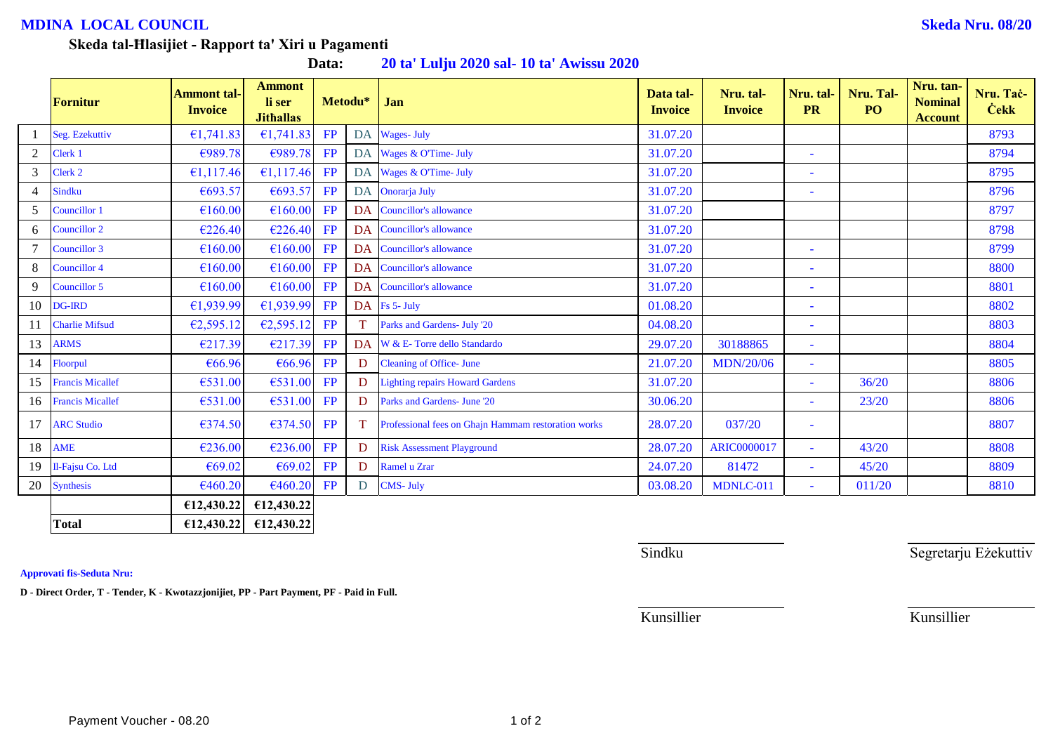## **MDINA LOCAL COUNCIL Skeda Nru. 08/20**

## **Skeda tal-Ħlasijiet - Rapport ta' Xiri u Pagamenti**

**Data: 20 ta' Lulju 2020 sal- 10 ta' Awissu 2020**

|                | Fornitur                | <b>Ammont tal-</b><br><b>Invoice</b> | <b>Ammont</b><br>li ser<br><b>Jithallas</b> |    | Metodu*   | Jan                                                 | Data tal-<br><b>Invoice</b> | Nru. tal-<br><b>Invoice</b> | Nru. tal-<br><b>PR</b>   | Nru. Tal-<br>P <sub>O</sub> | Nru. tan-<br><b>Nominal</b><br><b>Account</b> | Nru. Tač-<br><b>Cekk</b> |
|----------------|-------------------------|--------------------------------------|---------------------------------------------|----|-----------|-----------------------------------------------------|-----------------------------|-----------------------------|--------------------------|-----------------------------|-----------------------------------------------|--------------------------|
|                | Seg. Ezekuttiv          | €1,741.83                            | €1,741.83                                   | FP | DA        | <b>Wages-July</b>                                   | 31.07.20                    |                             |                          |                             |                                               | 8793                     |
| 2              | Clerk 1                 | €989.78                              | €989.78                                     | FP |           | DA Wages & O'Time- July                             | 31.07.20                    |                             | ٠                        |                             |                                               | 8794                     |
| 3              | Clerk 2                 | €1,117.46                            | £1,117.46                                   | FP | DA        | Wages & O'Time- July                                | 31.07.20                    |                             | ٠                        |                             |                                               | 8795                     |
| $\overline{4}$ | <b>Sindku</b>           | €693.57                              | €693.57                                     | FP |           | DA Onorarja July                                    | 31.07.20                    |                             | $\overline{\phantom{a}}$ |                             |                                               | 8796                     |
| 5              | Councillor 1            | €160.00                              | €160.00                                     | FP | <b>DA</b> | <b>Councillor's allowance</b>                       | 31.07.20                    |                             |                          |                             |                                               | 8797                     |
| 6              | Councillor 2            | €226.40                              | €226.40                                     | FP | <b>DA</b> | <b>Councillor's allowance</b>                       | 31.07.20                    |                             |                          |                             |                                               | 8798                     |
| $\overline{7}$ | Councillor 3            | €160.00                              | €160.00                                     | FP | <b>DA</b> | Councillor's allowance                              | 31.07.20                    |                             | $\overline{\phantom{a}}$ |                             |                                               | 8799                     |
| 8              | Councillor 4            | €160.00                              | €160.00                                     | FP | <b>DA</b> | <b>Councillor's allowance</b>                       | 31.07.20                    |                             | ٠                        |                             |                                               | 8800                     |
| 9              | Councillor 5            | €160.00                              | €160.00                                     | FP | DA        | <b>Councillor's allowance</b>                       | 31.07.20                    |                             | $\sim$                   |                             |                                               | 8801                     |
| 10             | <b>DG-IRD</b>           | €1,939.99                            | €1,939.99                                   | FP |           | DA Fs 5- July                                       | 01.08.20                    |                             | ٠                        |                             |                                               | 8802                     |
| 11             | <b>Charlie Mifsud</b>   | €2,595.12                            | E2,595.12                                   | FP |           | Parks and Gardens- July '20                         | 04.08.20                    |                             | $\overline{\phantom{a}}$ |                             |                                               | 8803                     |
| 13             | <b>ARMS</b>             | €217.39                              | €217.39                                     | FP | DA        | W & E- Torre dello Standardo                        | 29.07.20                    | 30188865                    | $\overline{\phantom{a}}$ |                             |                                               | 8804                     |
| 14             | Floorpul                | €66.96                               | €66.96                                      | FP | D.        | <b>Cleaning of Office-June</b>                      | 21.07.20                    | <b>MDN/20/06</b>            | ٠                        |                             |                                               | 8805                     |
| 15             | <b>Francis Micallef</b> | €531.00                              | €531.00                                     | FP | D         | <b>Lighting repairs Howard Gardens</b>              | 31.07.20                    |                             | $\overline{\phantom{a}}$ | 36/20                       |                                               | 8806                     |
| 16             | <b>Francis Micallef</b> | €531.00                              | €531.00                                     | FP | D         | Parks and Gardens- June '20                         | 30.06.20                    |                             | $\overline{\phantom{a}}$ | 23/20                       |                                               | 8806                     |
| 17             | <b>ARC Studio</b>       | €374.50                              | €374.50                                     | FP | T         | Professional fees on Ghajn Hammam restoration works | 28.07.20                    | 037/20                      | $\overline{\phantom{a}}$ |                             |                                               | 8807                     |
| 18             | <b>AME</b>              | €236.00                              | €236.00                                     | FP | D         | <b>Risk Assessment Playground</b>                   | 28.07.20                    | <b>ARIC0000017</b>          | ÷,                       | 43/20                       |                                               | 8808                     |
| 19             | Il-Fajsu Co. Ltd        | €69.02                               | €69.02                                      | FP | D.        | Ramel u Zrar                                        | 24.07.20                    | 81472                       | $\sim$                   | 45/20                       |                                               | 8809                     |
| 20             | <b>Synthesis</b>        | €460.20                              | €460.20                                     | FP | D         | <b>CMS-July</b>                                     | 03.08.20                    | MDNLC-011                   | $\bar{\phantom{a}}$      | 011/20                      |                                               | 8810                     |
|                |                         | €12,430.22                           | €12,430.22                                  |    |           |                                                     |                             |                             |                          |                             |                                               |                          |
|                | <b>Total</b>            | E12,430.22                           | £12,430.22                                  |    |           |                                                     |                             |                             |                          |                             |                                               |                          |

**Approvati fis-Seduta Nru:**

**D - Direct Order, T - Tender, K - Kwotazzjonijiet, PP - Part Payment, PF - Paid in Full.**

Sindku Sindku Segretarju Eżekuttiv

Kunsillier Kunsillier